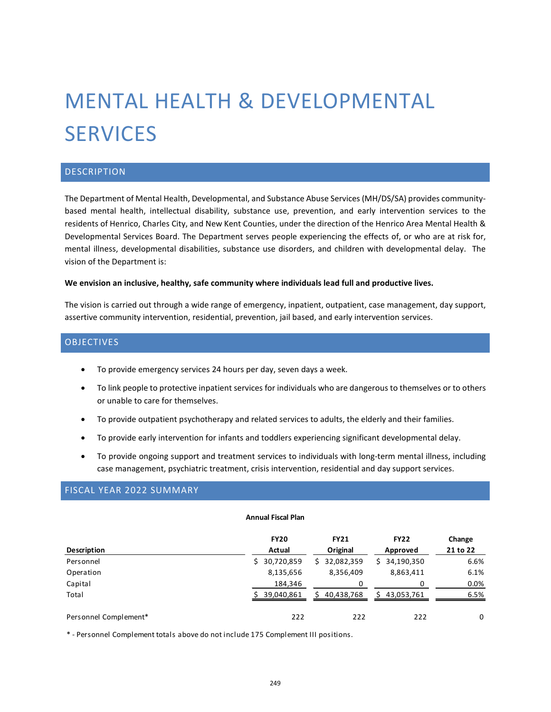# MENTAL HEALTH & DEVELOPMENTAL **SERVICES**

# DESCRIPTION

The Department of Mental Health, Developmental, and Substance Abuse Services (MH/DS/SA) provides communitybased mental health, intellectual disability, substance use, prevention, and early intervention services to the residents of Henrico, Charles City, and New Kent Counties, under the direction of the Henrico Area Mental Health & Developmental Services Board. The Department serves people experiencing the effects of, or who are at risk for, mental illness, developmental disabilities, substance use disorders, and children with developmental delay. The vision of the Department is:

#### **We envision an inclusive, healthy, safe community where individuals lead full and productive lives.**

The vision is carried out through a wide range of emergency, inpatient, outpatient, case management, day support, assertive community intervention, residential, prevention, jail based, and early intervention services.

## **OBJECTIVES**

- To provide emergency services 24 hours per day, seven days a week.
- To link people to protective inpatient services for individuals who are dangerous to themselves or to others or unable to care for themselves.
- To provide outpatient psychotherapy and related services to adults, the elderly and their families.
- To provide early intervention for infants and toddlers experiencing significant developmental delay.
- To provide ongoing support and treatment services to individuals with long-term mental illness, including case management, psychiatric treatment, crisis intervention, residential and day support services.

# FISCAL YEAR 2022 SUMMARY

#### **Annual Fiscal Plan**

|                       | <b>FY20</b>  | <b>FY21</b>      | <b>FY22</b>     | Change   |
|-----------------------|--------------|------------------|-----------------|----------|
| Description           | Actual       | Original         | Approved        | 21 to 22 |
| Personnel             | \$30,720,859 | 32,082,359<br>S. | 34,190,350<br>Ś | 6.6%     |
| Operation             | 8,135,656    | 8,356,409        | 8,863,411       | 6.1%     |
| Capital               | 184,346      | 0                |                 | $0.0\%$  |
| Total                 | 39,040,861   | 40,438,768       | 43,053,761      | 6.5%     |
| Personnel Complement* | 222          | 222              | 222             | 0        |

\* - Personnel Complement totals above do not include 175 Complement III positions.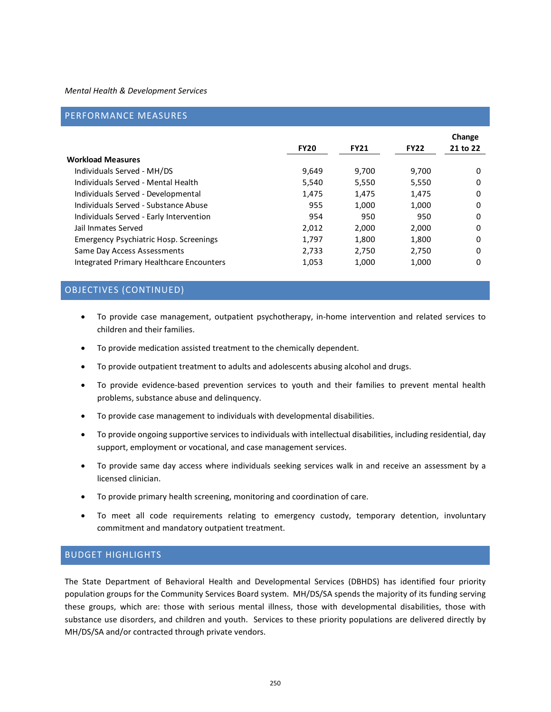## PERFORMANCE MEASURES

|                                               | <b>FY20</b> | <b>FY21</b> | <b>FY22</b> | Change<br>21 to 22 |
|-----------------------------------------------|-------------|-------------|-------------|--------------------|
| <b>Workload Measures</b>                      |             |             |             |                    |
| Individuals Served - MH/DS                    | 9,649       | 9.700       | 9.700       | 0                  |
| Individuals Served - Mental Health            | 5.540       | 5,550       | 5.550       | 0                  |
| Individuals Served - Developmental            | 1.475       | 1,475       | 1,475       | 0                  |
| Individuals Served - Substance Abuse          | 955         | 1.000       | 1,000       | 0                  |
| Individuals Served - Early Intervention       | 954         | 950         | 950         | 0                  |
| Jail Inmates Served                           | 2.012       | 2.000       | 2.000       | 0                  |
| <b>Emergency Psychiatric Hosp. Screenings</b> | 1.797       | 1.800       | 1.800       | 0                  |
| Same Day Access Assessments                   | 2,733       | 2,750       | 2,750       | 0                  |
| Integrated Primary Healthcare Encounters      | 1,053       | 1,000       | 1,000       | 0                  |

## OBJECTIVES (CONTINUED)

- To provide case management, outpatient psychotherapy, in-home intervention and related services to children and their families.
- To provide medication assisted treatment to the chemically dependent.
- To provide outpatient treatment to adults and adolescents abusing alcohol and drugs.
- To provide evidence-based prevention services to youth and their families to prevent mental health problems, substance abuse and delinquency.
- To provide case management to individuals with developmental disabilities.
- To provide ongoing supportive services to individuals with intellectual disabilities, including residential, day support, employment or vocational, and case management services.
- To provide same day access where individuals seeking services walk in and receive an assessment by a licensed clinician.
- To provide primary health screening, monitoring and coordination of care.
- To meet all code requirements relating to emergency custody, temporary detention, involuntary commitment and mandatory outpatient treatment.

## BUDGET HIGHLIGHTS

The State Department of Behavioral Health and Developmental Services (DBHDS) has identified four priority population groups for the Community Services Board system. MH/DS/SA spends the majority of its funding serving these groups, which are: those with serious mental illness, those with developmental disabilities, those with substance use disorders, and children and youth. Services to these priority populations are delivered directly by MH/DS/SA and/or contracted through private vendors.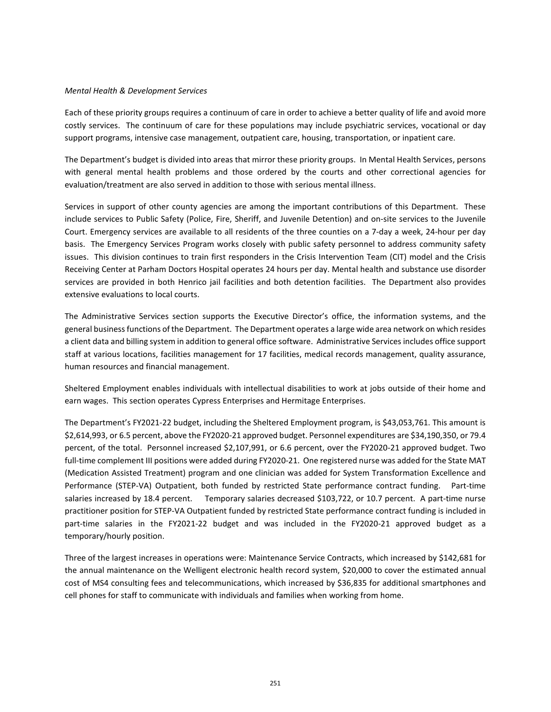Each of these priority groups requires a continuum of care in order to achieve a better quality of life and avoid more costly services. The continuum of care for these populations may include psychiatric services, vocational or day support programs, intensive case management, outpatient care, housing, transportation, or inpatient care.

The Department's budget is divided into areas that mirror these priority groups. In Mental Health Services, persons with general mental health problems and those ordered by the courts and other correctional agencies for evaluation/treatment are also served in addition to those with serious mental illness.

Services in support of other county agencies are among the important contributions of this Department. These include services to Public Safety (Police, Fire, Sheriff, and Juvenile Detention) and on-site services to the Juvenile Court. Emergency services are available to all residents of the three counties on a 7-day a week, 24-hour per day basis. The Emergency Services Program works closely with public safety personnel to address community safety issues. This division continues to train first responders in the Crisis Intervention Team (CIT) model and the Crisis Receiving Center at Parham Doctors Hospital operates 24 hours per day. Mental health and substance use disorder services are provided in both Henrico jail facilities and both detention facilities. The Department also provides extensive evaluations to local courts.

The Administrative Services section supports the Executive Director's office, the information systems, and the general business functions of the Department. The Department operates a large wide area network on which resides a client data and billing system in addition to general office software. Administrative Services includes office support staff at various locations, facilities management for 17 facilities, medical records management, quality assurance, human resources and financial management.

Sheltered Employment enables individuals with intellectual disabilities to work at jobs outside of their home and earn wages. This section operates Cypress Enterprises and Hermitage Enterprises.

The Department's FY2021-22 budget, including the Sheltered Employment program, is \$43,053,761. This amount is \$2,614,993, or 6.5 percent, above the FY2020-21 approved budget. Personnel expenditures are \$34,190,350, or 79.4 percent, of the total. Personnel increased \$2,107,991, or 6.6 percent, over the FY2020-21 approved budget. Two full-time complement III positions were added during FY2020-21. One registered nurse was added for the State MAT (Medication Assisted Treatment) program and one clinician was added for System Transformation Excellence and Performance (STEP-VA) Outpatient, both funded by restricted State performance contract funding. Part-time salaries increased by 18.4 percent. Temporary salaries decreased \$103,722, or 10.7 percent. A part-time nurse practitioner position for STEP-VA Outpatient funded by restricted State performance contract funding is included in part-time salaries in the FY2021-22 budget and was included in the FY2020-21 approved budget as a temporary/hourly position.

Three of the largest increases in operations were: Maintenance Service Contracts, which increased by \$142,681 for the annual maintenance on the Welligent electronic health record system, \$20,000 to cover the estimated annual cost of MS4 consulting fees and telecommunications, which increased by \$36,835 for additional smartphones and cell phones for staff to communicate with individuals and families when working from home.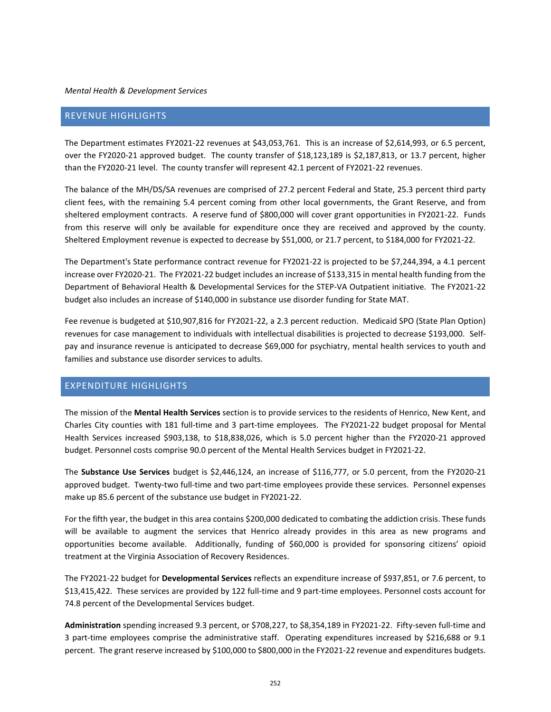## REVENUE HIGHLIGHTS

The Department estimates FY2021-22 revenues at \$43,053,761. This is an increase of \$2,614,993, or 6.5 percent, over the FY2020-21 approved budget. The county transfer of \$18,123,189 is \$2,187,813, or 13.7 percent, higher than the FY2020-21 level. The county transfer will represent 42.1 percent of FY2021-22 revenues.

The balance of the MH/DS/SA revenues are comprised of 27.2 percent Federal and State, 25.3 percent third party client fees, with the remaining 5.4 percent coming from other local governments, the Grant Reserve, and from sheltered employment contracts. A reserve fund of \$800,000 will cover grant opportunities in FY2021-22. Funds from this reserve will only be available for expenditure once they are received and approved by the county. Sheltered Employment revenue is expected to decrease by \$51,000, or 21.7 percent, to \$184,000 for FY2021-22.

The Department's State performance contract revenue for FY2021-22 is projected to be \$7,244,394, a 4.1 percent increase over FY2020-21. The FY2021-22 budget includes an increase of \$133,315 in mental health funding from the Department of Behavioral Health & Developmental Services for the STEP-VA Outpatient initiative. The FY2021-22 budget also includes an increase of \$140,000 in substance use disorder funding for State MAT.

Fee revenue is budgeted at \$10,907,816 for FY2021-22, a 2.3 percent reduction. Medicaid SPO (State Plan Option) revenues for case management to individuals with intellectual disabilities is projected to decrease \$193,000. Selfpay and insurance revenue is anticipated to decrease \$69,000 for psychiatry, mental health services to youth and families and substance use disorder services to adults.

# EXPENDITURE HIGHLIGHTS

The mission of the **Mental Health Services** section is to provide services to the residents of Henrico, New Kent, and Charles City counties with 181 full-time and 3 part-time employees. The FY2021-22 budget proposal for Mental Health Services increased \$903,138, to \$18,838,026, which is 5.0 percent higher than the FY2020-21 approved budget. Personnel costs comprise 90.0 percent of the Mental Health Services budget in FY2021-22.

The **Substance Use Services** budget is \$2,446,124, an increase of \$116,777, or 5.0 percent, from the FY2020-21 approved budget. Twenty-two full-time and two part-time employees provide these services. Personnel expenses make up 85.6 percent of the substance use budget in FY2021-22.

For the fifth year, the budget in this area contains \$200,000 dedicated to combating the addiction crisis. These funds will be available to augment the services that Henrico already provides in this area as new programs and opportunities become available. Additionally, funding of \$60,000 is provided for sponsoring citizens' opioid treatment at the Virginia Association of Recovery Residences.

The FY2021-22 budget for **Developmental Services** reflects an expenditure increase of \$937,851, or 7.6 percent, to \$13,415,422. These services are provided by 122 full-time and 9 part-time employees. Personnel costs account for 74.8 percent of the Developmental Services budget.

**Administration** spending increased 9.3 percent, or \$708,227, to \$8,354,189 in FY2021-22. Fifty-seven full-time and 3 part-time employees comprise the administrative staff. Operating expenditures increased by \$216,688 or 9.1 percent. The grant reserve increased by \$100,000 to \$800,000 in the FY2021-22 revenue and expenditures budgets.